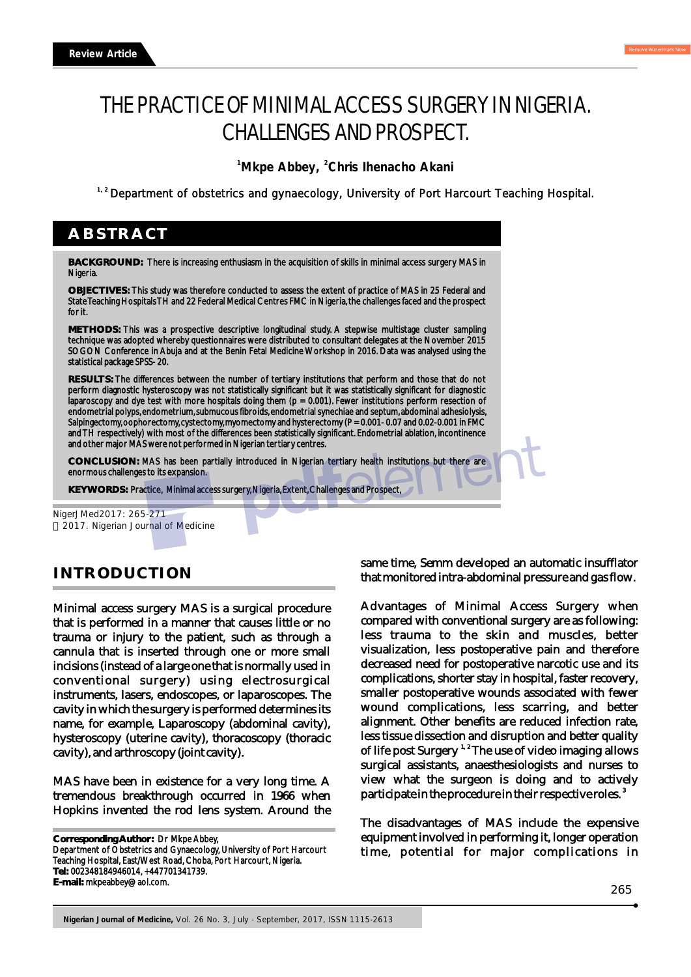# THE PRACTICE OF MINIMAL ACCESS SURGERY IN NIGERIA. CHALLENGES AND PROSPECT.

<sup>1</sup> Mkpe Abbey, <sup>2</sup> Chris Ihenacho Akani

<sup>1,2</sup> Department of obstetrics and gynaecology, University of Port Harcourt Teaching Hospital.

## **ABSTRACT**

**BACKGROUND:** There is increasing enthusiasm in the acquisition of skills in minimal access surgery MAS in Nigeria.

**OBJECTIVES:** This study was therefore conducted to assess the extent of practice of MAS in 25 Federal and State Teaching Hospitals TH and 22 Federal Medical Centres FMC in Nigeria, the challenges faced and the prospect for it.

**METHODS:** This was a prospective descriptive longitudinal study. A stepwise multistage cluster sampling technique was adopted whereby questionnaires were distributed to consultant delegates at the November 2015 SOGON Conference in Abuja and at the Benin Fetal Medicine Workshop in 2016. Data was analysed using the statistical package SPSS- 20.

**RESULTS:** The differences between the number of tertiary institutions that perform and those that do not perform diagnostic hysteroscopy was not statistically significant but it was statistically significant for diagnostic laparoscopy and dye test with more hospitals doing them (p = 0.001). Fewer institutions perform resection of endometrial polyps, endometrium, submucous fibroids, endometrial synechiae and septum, abdominal adhesiolysis, Salpingectomy, oophorectomy, cystectomy, myomectomy and hysterectomy (P = 0.001-0.07 and 0.02-0.001 in FMC and TH respectively) with most of the differences been statistically significant. Endometrial ablation, incontinence and other major MAS were not performed in Nigerian tertiary centres.

**CONCLUSION:** MAS has been partially introduced in Nigerian tertiary health institutions but there are enormous challenges to its expansion.

**KEYWORDS:** Practice, Minimal access surgery, Nigeria, Extent, Challenges and Prospect,

NigerJMed2017: 265-271 2017. Nigerian Journal of Medicine

## **INTRODUCTION**

Minimal access surgery MAS is a surgical procedure that is performed in a manner that causes little or no trauma or injury to the patient, such as through a cannula that is inserted through one or more small incisions (instead of a large one that is normally used in conventional surgery) using electrosurgical instruments, lasers, endoscopes, or laparoscopes. The cavity in which the surgery is performed determines its name, for example, Laparoscopy (abdominal cavity), hysteroscopy (uterine cavity), thoracoscopy (thoracic cavity), and arthroscopy (joint cavity).

MAS have been in existence for a very long time. A tremendous breakthrough occurred in 1966 when Hopkins invented the rod lens system. Around the

**Corresponding Author:** Dr Mkpe Abbey, Department of Obstetrics and Gynaecology, University of Port Harcourt Teaching Hospital, East/West Road, Choba, Port Harcourt, Nigeria. **Tel:** 002348184946014, +447701341739. **E-mail:** mkpeabbey@aol.com.

same time, Semm developed an automatic insufflator that monitored intra-abdominal pressure and gas flow.

Advantages of Minimal Access Surgery when compared with conventional surgery are as following: less trauma to the skin and muscles, better visualization, less postoperative pain and therefore decreased need for postoperative narcotic use and its complications, shorter stay in hospital, faster recovery, smaller postoperative wounds associated with fewer wound complications, less scarring, and better alignment. Other benefits are reduced infection rate, less tissue dissection and disruption and better quality of life post Surgery  $1.2$  The use of video imaging allows surgical assistants, anaesthesiologists and nurses to view what the surgeon is doing and to actively participate in the procedure in their respective roles.<sup>3</sup>

The disadvantages of MAS include the expensive equipment involved in performing it, longer operation time, potential for major complications in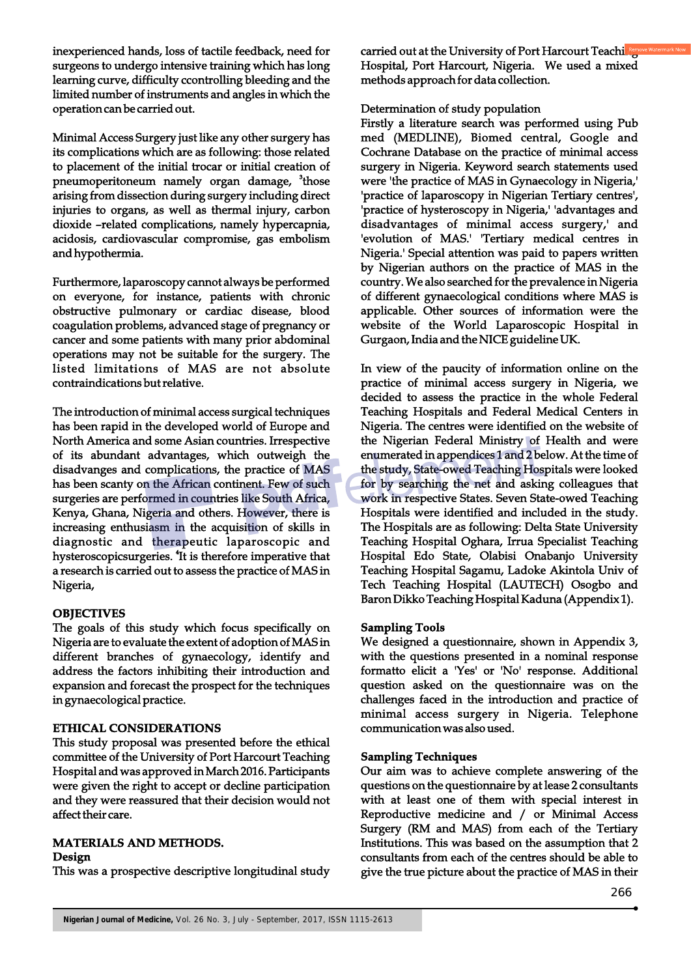inexperienced hands, loss of tactile feedback, need for surgeons to undergo intensive training which has long learning curve, difficulty ccontrolling bleeding and the limited number of instruments and angles in which the operation can be carried out.

Minimal Access Surgery just like any other surgery has its complications which are as following: those related to placement of the initial trocar or initial creation of pneumoperitoneum namely organ damage, <sup>3</sup>those arising from dissection during surgery including direct injuries to organs, as well as thermal injury, carbon dioxide –related complications, namely hypercapnia, acidosis, cardiovascular compromise, gas embolism and hypothermia.

Furthermore, laparoscopy cannot always be performed on everyone, for instance, patients with chronic obstructive pulmonary or cardiac disease, blood coagulation problems, advanced stage of pregnancy or cancer and some patients with many prior abdominal operations may not be suitable for the surgery. The listed limitations of MAS are not absolute contraindications but relative.

The introduction of minimal access surgical techniques has been rapid in the developed world of Europe and North America and some Asian countries. Irrespective of its abundant advantages, which outweigh the disadvanges and complications, the practice of MAS has been scanty on the African continent. Few of such surgeries are performed in countries like South Africa, Kenya, Ghana, Nigeria and others. However, there is increasing enthusiasm in the acquisition of skills in diagnostic and therapeutic laparoscopic and hysteroscopicsurgeries. <sup>4</sup>It is therefore imperative that a research is carried out to assess the practice of MAS in Nigeria,

#### **OBJECTIVES**

The goals of this study which focus specifically on Nigeria are to evaluate the extent of adoption of MAS in different branches of gynaecology, identify and address the factors inhibiting their introduction and expansion and forecast the prospect for the techniques in gynaecological practice.

#### **ETHICAL CONSIDERATIONS**

This study proposal was presented before the ethical committee of the University of Port Harcourt Teaching Hospital and was approved in March 2016. Participants were given the right to accept or decline participation and they were reassured that their decision would not affect their care.

#### **MATERIALS AND METHODS. Design**

This was a prospective descriptive longitudinal study

carried out at the University of Port Harcourt Teaching Hospital, Port Harcourt, Nigeria. We used a mixed methods approach for data collection.

#### Determination of study population

Firstly a literature search was performed using Pub med (MEDLINE), Biomed central, Google and Cochrane Database on the practice of minimal access surgery in Nigeria. Keyword search statements used were 'the practice of MAS in Gynaecology in Nigeria,' 'practice of laparoscopy in Nigerian Tertiary centres', 'practice of hysteroscopy in Nigeria,' 'advantages and disadvantages of minimal access surgery,' and 'evolution of MAS.' 'Tertiary medical centres in Nigeria.' Special attention was paid to papers written by Nigerian authors on the practice of MAS in the country. We also searched for the prevalence in Nigeria of different gynaecological conditions where MAS is applicable. Other sources of information were the website of the World Laparoscopic Hospital in Gurgaon, India and the NICE guideline UK.

In view of the paucity of information online on the practice of minimal access surgery in Nigeria, we decided to assess the practice in the whole Federal Teaching Hospitals and Federal Medical Centers in Nigeria. The centres were identified on the website of the Nigerian Federal Ministry of Health and were enumerated in appendices 1 and 2 below. At the time of the study, State-owed Teaching Hospitals were looked for by searching the net and asking colleagues that work in respective States. Seven State-owed Teaching Hospitals were identified and included in the study. The Hospitals are as following: Delta State University Teaching Hospital Oghara, Irrua Specialist Teaching Hospital Edo State, Olabisi Onabanjo University Teaching Hospital Sagamu, Ladoke Akintola Univ of Tech Teaching Hospital (LAUTECH) Osogbo and Baron Dikko Teaching Hospital Kaduna (Appendix 1).

#### **Sampling Tools**

We designed a questionnaire, shown in Appendix 3, with the questions presented in a nominal response formatto elicit a 'Yes' or 'No' response. Additional question asked on the questionnaire was on the challenges faced in the introduction and practice of minimal access surgery in Nigeria. Telephone communication was also used.

## **Sampling Techniques**

Our aim was to achieve complete answering of the questions on the questionnaire by at lease 2 consultants with at least one of them with special interest in Reproductive medicine and / or Minimal Access Surgery (RM and MAS) from each of the Tertiary Institutions. This was based on the assumption that 2 consultants from each of the centres should be able to give the true picture about the practice of MAS in their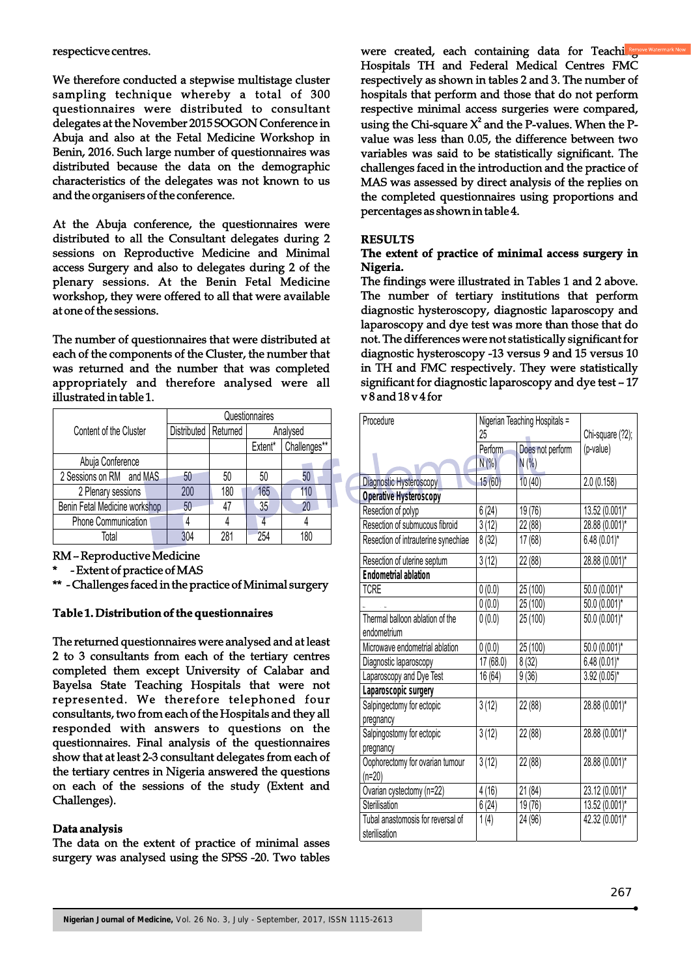respecticve centres.

We therefore conducted a stepwise multistage cluster sampling technique whereby a total of 300 questionnaires were distributed to consultant delegates at the November 2015 SOGON Conference in Abuja and also at the Fetal Medicine Workshop in Benin, 2016. Such large number of questionnaires was distributed because the data on the demographic characteristics of the delegates was not known to us and the organisers of the conference.

At the Abuja conference, the questionnaires were distributed to all the Consultant delegates during 2 sessions on Reproductive Medicine and Minimal access Surgery and also to delegates during 2 of the plenary sessions. At the Benin Fetal Medicine workshop, they were offered to all that were available at one of the sessions.

The number of questionnaires that were distributed at each of the components of the Cluster, the number that was returned and the number that was completed appropriately and therefore analysed were all illustrated in table 1.

|                               | Questionnaires         |     |          |              |
|-------------------------------|------------------------|-----|----------|--------------|
| Content of the Cluster        | Distributed   Returned |     | Analysed |              |
|                               |                        |     | Extent*  | Challenges** |
| Abuja Conference              |                        |     |          |              |
| 2 Sessions on RM and MAS      | 50                     | 50  | 50       | 50           |
| 2 Plenary sessions            | 200                    | 180 | 165      | 110          |
| Benin Fetal Medicine workshop | 50                     | 47  | 35       |              |
| <b>Phone Communication</b>    |                        |     |          |              |
| Total                         | 304                    | 281 | 254      | 180          |

RM – Reproductive Medicine

- Extent of practice of MAS

\*\* - Challenges faced in the practice of Minimal surgery

## **Table 1. Distribution of the questionnaires**

The returned questionnaires were analysed and at least 2 to 3 consultants from each of the tertiary centres completed them except University of Calabar and Bayelsa State Teaching Hospitals that were not represented. We therefore telephoned four consultants, two from each of the Hospitals and they all responded with answers to questions on the questionnaires. Final analysis of the questionnaires show that at least 2-3 consultant delegates from each of the tertiary centres in Nigeria answered the questions on each of the sessions of the study (Extent and Challenges).

#### **Data analysis**

The data on the extent of practice of minimal asses surgery was analysed using the SPSS -20. Two tables were created, each containing data for Teaching Hospitals TH and Federal Medical Centres FMC respectively as shown in tables 2 and 3. The number of hospitals that perform and those that do not perform respective minimal access surgeries were compared, using the Chi-square  $X^2$  and the P-values. When the Pvalue was less than 0.05, the difference between two variables was said to be statistically significant. The challenges faced in the introduction and the practice of MAS was assessed by direct analysis of the replies on the completed questionnaires using proportions and percentages as shown in table 4.

#### **RESULTS**

#### **The extent of practice of minimal access surgery in Nigeria.**

The findings were illustrated in Tables 1 and 2 above. The number of tertiary institutions that perform diagnostic hysteroscopy, diagnostic laparoscopy and laparoscopy and dye test was more than those that do not. The differences were not statistically significant for diagnostic hysteroscopy -13 versus 9 and 15 versus 10 in TH and FMC respectively. They were statistically significant for diagnostic laparoscopy and dye test – 17 v 8 and 18 v 4 for

| Procedure                           | Nigerian Teaching Hospitals =<br>25 |                  | Chi-square (?2); |
|-------------------------------------|-------------------------------------|------------------|------------------|
|                                     | Perform                             | Does not perform | (p-value)        |
|                                     | $N(\%)$                             | N(% )            |                  |
| Diagnostic Hysteroscopy             | 15(60)                              | 10(40)           | 2.0(0.158)       |
| <b>Operative Hysteroscopy</b>       |                                     |                  |                  |
| Resection of polyp                  | 6(24)                               | 19(76)           | 13.52 (0.001)*   |
| Resection of submucous fibroid      | 3(12)                               | 22 (88)          | 28.88 (0.001)*   |
| Resection of intrauterine synechiae | 8(32)                               | 17 (68)          | $6.48(0.01)$ *   |
| Resection of uterine septum         | 3(12)                               | 22 (88)          | 28.88 (0.001)*   |
| <b>Endometrial ablation</b>         |                                     |                  |                  |
| TCRE                                | 0(0.0)                              | 25 (100)         | 50.0 (0.001)*    |
|                                     | 0(0.0)                              | 25 (100)         | 50.0 (0.001)*    |
| Thermal balloon ablation of the     | 0(0.0)                              | 25 (100)         | 50.0 (0.001)*    |
| endometrium                         |                                     |                  |                  |
| Microwave endometrial ablation      | 0(0.0)                              | 25 (100)         | 50.0 (0.001)*    |
| Diagnostic laparoscopy              | 17 (68.0)                           | 8(32)            | $6.48(0.01)$ *   |
| Laparoscopy and Dye Test            | 16(64)                              | 9(36)            | $3.92(0.05)^*$   |
| Laparoscopic surgery                |                                     |                  |                  |
| Salpingectomy for ectopic           | 3(12)                               | 22 (88)          | 28.88 (0.001)*   |
| pregnancy                           |                                     |                  |                  |
| Salpingostomy for ectopic           | 3(12)                               | 22 (88)          | 28.88 (0.001)*   |
| pregnancy                           |                                     |                  |                  |
| Oophorectomy for ovarian tumour     | 3(12)                               | 22 (88)          | 28.88 (0.001)*   |
| $(n=20)$                            |                                     |                  |                  |
| Ovarian cystectomy (n=22)           | 4(16)                               | 21(84)           | 23.12 (0.001)*   |
| Sterilisation                       | 6(24)                               | 19 (76)          | 13.52 (0.001)*   |
| Tubal anastomosis for reversal of   | 1(4)                                | 24 (96)          | 42.32 (0.001)*   |
| sterilisation                       |                                     |                  |                  |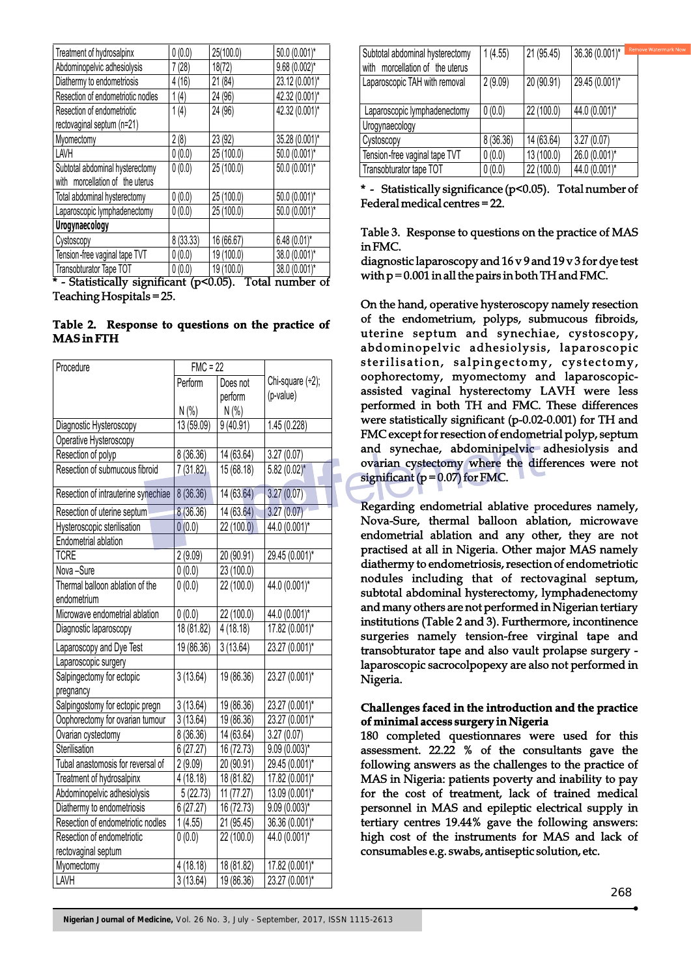| Treatment of hydrosalpinx         | 0(0.0)    | 25(100.0)  | 50.0 (0.001)*   |
|-----------------------------------|-----------|------------|-----------------|
| Abdominopelvic adhesiolysis       | 7(28)     | 18(72)     | $9.68(0.002)$ * |
| Diathermy to endometriosis        | 4(16)     | 21 (84)    | 23.12 (0.001)*  |
| Resection of endometriotic nodles | 1(4)      | 24 (96)    | 42.32 (0.001)*  |
| Resection of endometriotic        | 1(4)      | 24 (96)    | 42.32 (0.001)*  |
| rectovaginal septum (n=21)        |           |            |                 |
| Myomectomy                        | 2(8)      | 23 (92)    | 35.28 (0.001)*  |
| LAVH                              | 0(0.0)    | 25 (100.0) | 50.0 (0.001)*   |
| Subtotal abdominal hysterectomy   | 0(0.0)    | 25 (100.0) | 50.0 (0.001)*   |
| with morcellation of the uterus   |           |            |                 |
| Total abdominal hysterectomy      | 0(0.0)    | 25 (100.0) | 50.0 (0.001)*   |
| Laparoscopic lymphadenectomy      | 0(0.0)    | 25 (100.0) | 50.0 (0.001)*   |
| Urogynaecology                    |           |            |                 |
| Cystoscopy                        | 8 (33.33) | 16 (66.67) | $6.48(0.01)$ *  |
| Tension-free vaginal tape TVT     | 0(0.0)    | 19 (100.0) | 38.0 (0.001)*   |
| Transobturator Tape TOT           | 0(0.0)    | 19 (100.0) | 38.0 (0.001)*   |

\* - Statistically significant (p<0.05). Total number of Teaching Hospitals = 25.

#### **Table 2. Response to questions on the practice of MAS in FTH**

| Procedure                           | $FMC = 22$ |            |                     |
|-------------------------------------|------------|------------|---------------------|
|                                     | Perform    | Does not   | Chi-square $(+2)$ ; |
|                                     |            | perform    | (p-value)           |
|                                     | N(% )      | N(% )      |                     |
| Diagnostic Hysteroscopy             | 13 (59.09) | 9(40.91)   | 1.45 (0.228)        |
| Operative Hysteroscopy              |            |            |                     |
| Resection of polyp                  | 8 (36.36)  | 14 (63.64) | 3.27(0.07)          |
| Resection of submucous fibroid      | 7(31.82)   | 15 (68.18) | $5.82(0.02)$ *      |
| Resection of intrauterine synechiae | 8(36.36)   | 14 (63.64) | 3.27(0.07)          |
| Resection of uterine septum         | 8 (36.36)  | 14 (63.64) | 3.27(0.07)          |
| Hysteroscopic sterilisation         | 0(0.0)     | 22 (100.0) | 44.0 (0.001)*       |
| Endometrial ablation                |            |            |                     |
| <b>TCRE</b>                         | 2(9.09)    | 20 (90.91) | 29.45 (0.001)*      |
| Nova-Sure                           | 0(0.0)     | 23 (100.0) |                     |
| Thermal balloon ablation of the     | 0(0.0)     | 22 (100.0) | 44.0 (0.001)*       |
| endometrium                         |            |            |                     |
| Microwave endometrial ablation      | 0(0.0)     | 22 (100.0) | 44.0 (0.001)*       |
| Diagnostic laparoscopy              | 18 (81.82) | 4(18.18)   | 17.82 (0.001)*      |
| Laparoscopy and Dye Test            | 19 (86.36) | 3(13.64)   | 23.27 (0.001)*      |
| Laparoscopic surgery                |            |            |                     |
| Salpingectomy for ectopic           | 3(13.64)   | 19 (86.36) | 23.27 (0.001)*      |
| pregnancy                           |            |            |                     |
| Salpingostomy for ectopic pregn     | 3(13.64)   | 19 (86.36) | 23.27 (0.001)*      |
| Oophorectomy for ovarian tumour     | 3(13.64)   | 19 (86.36) | 23.27 (0.001)*      |
| Ovarian cystectomy                  | 8 (36.36)  | 14 (63.64) | 3.27(0.07)          |
| Sterilisation                       | 6(27.27)   | 16 (72.73) | $9.09(0.003)$ *     |
| Tubal anastomosis for reversal of   | 2(9.09)    | 20 (90.91) | 29.45 (0.001)*      |
| Treatment of hydrosalpinx           | 4(18.18)   | 18 (81.82) | 17.82 (0.001)*      |
| Abdominopelvic adhesiolysis         | 5(22.73)   | 11 (77.27) | 13.09 (0.001)*      |
| Diathermy to endometriosis          | 6(27.27)   | 16 (72.73) | $9.09(0.003)$ *     |
| Resection of endometriotic nodles   | 1(4.55)    | 21 (95.45) | 36.36 (0.001)*      |
| Resection of endometriotic          | 0(0.0)     | 22 (100.0) | 44.0 (0.001)*       |
| rectovaginal septum                 |            |            |                     |
| Myomectomy                          | 4(18.18)   | 18 (81.82) | 17.82 (0.001)*      |
| LAVH                                | 3(13.64)   | 19 (86.36) | 23.27 (0.001)*      |

| Subtotal abdominal hysterectomy<br>with morcellation of the uterus | 1(4.55)  | 21 (95.45) | <b>Rem</b><br>36.36 (0.001)* |
|--------------------------------------------------------------------|----------|------------|------------------------------|
| Laparoscopic TAH with removal                                      | 2(9.09)  | 20 (90.91) | 29.45 (0.001)*               |
| Laparoscopic lymphadenectomy                                       | 0(0.0)   | 22 (100.0) | 44.0 (0.001)*                |
| Urogynaecology                                                     |          |            |                              |
| Cystoscopy                                                         | 8(36.36) | 14 (63.64) | 3.27(0.07)                   |
| Tension-free vaginal tape TVT                                      | 0(0.0)   | 13 (100.0) | 26.0 (0.001)*                |
| Transobturator tape TOT                                            | 0(0.0)   | 22 (100.0) | 44.0 (0.001)*                |

\* - Statistically significance (p<0.05). Total number of Federal medical centres = 22.

#### Table 3. Response to questions on the practice of MAS in FMC.

diagnostic laparoscopy and 16 v 9 and 19 v 3 for dye test with  $p = 0.001$  in all the pairs in both TH and FMC.

On the hand, operative hysteroscopy namely resection of the endometrium, polyps, submucous fibroids, uterine septum and synechiae, cystoscopy, abdominopelvic adhesiolysis, laparoscopic sterilisation, salpingectomy, cystectomy, oophorectomy, myomectomy and laparoscopicassisted vaginal hysterectomy LAVH were less performed in both TH and FMC. These differences were statistically significant (p-0.02-0.001) for TH and FMC except for resection of endometrial polyp, septum and synechae, abdominipelvic adhesiolysis and ovarian cystectomy where the differences were not significant ( $p = 0.07$ ) for FMC.

Regarding endometrial ablative procedures namely, Nova-Sure, thermal balloon ablation, microwave endometrial ablation and any other, they are not practised at all in Nigeria. Other major MAS namely diathermy to endometriosis, resection of endometriotic nodules including that of rectovaginal septum, subtotal abdominal hysterectomy, lymphadenectomy and many others are not performed in Nigerian tertiary institutions (Table 2 and 3). Furthermore, incontinence surgeries namely tension-free virginal tape and transobturator tape and also vault prolapse surgery laparoscopic sacrocolpopexy are also not performed in Nigeria.

#### **Challenges faced in the introduction and the practice of minimal access surgery in Nigeria**

180 completed questionnares were used for this assessment. 22.22 % of the consultants gave the following answers as the challenges to the practice of MAS in Nigeria: patients poverty and inability to pay for the cost of treatment, lack of trained medical personnel in MAS and epileptic electrical supply in tertiary centres 19.44% gave the following answers: high cost of the instruments for MAS and lack of consumables e.g. swabs, antiseptic solution, etc.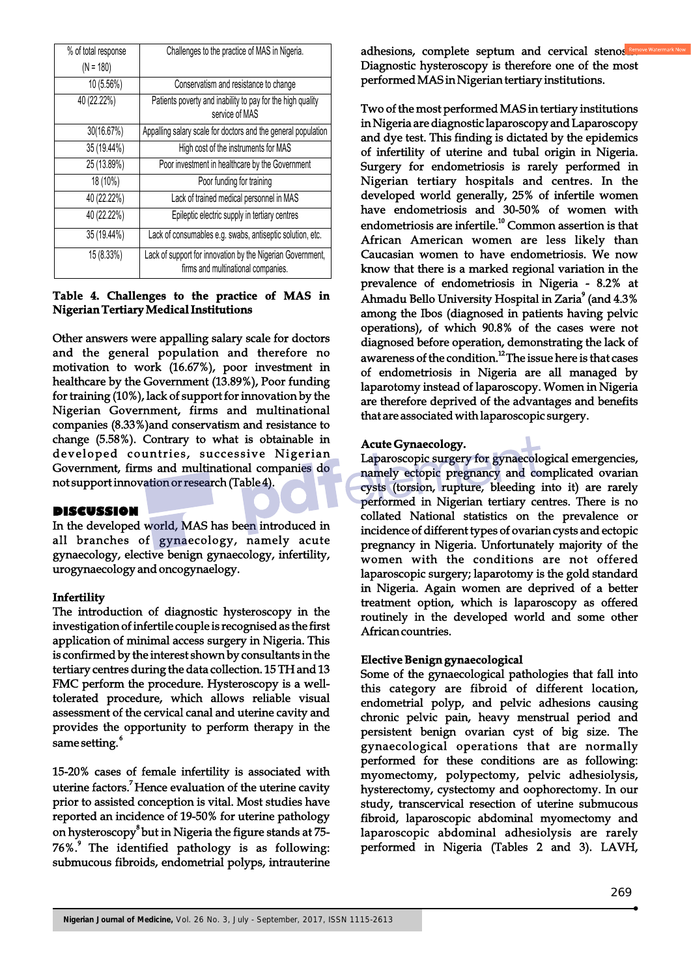| % of total response | Challenges to the practice of MAS in Nigeria.                                                    |
|---------------------|--------------------------------------------------------------------------------------------------|
| $(N = 180)$         |                                                                                                  |
| 10 (5.56%)          | Conservatism and resistance to change                                                            |
| 40 (22.22%)         | Patients poverty and inability to pay for the high quality<br>service of MAS                     |
| 30(16.67%)          | Appalling salary scale for doctors and the general population                                    |
| 35 (19.44%)         | High cost of the instruments for MAS                                                             |
| 25 (13.89%)         | Poor investment in healthcare by the Government                                                  |
| 18 (10%)            | Poor funding for training                                                                        |
| 40 (22.22%)         | Lack of trained medical personnel in MAS                                                         |
| 40 (22.22%)         | Epileptic electric supply in tertiary centres                                                    |
| 35 (19.44%)         | Lack of consumables e.g. swabs, antiseptic solution, etc.                                        |
| 15(8.33%)           | Lack of support for innovation by the Nigerian Government,<br>firms and multinational companies. |

## **Table 4. Challenges to the practice of MAS in Nigerian Tertiary Medical Institutions**

Other answers were appalling salary scale for doctors and the general population and therefore no motivation to work (16.67%), poor investment in healthcare by the Government (13.89%), Poor funding for training (10%), lack of support for innovation by the Nigerian Government, firms and multinational companies (8.33%)and conservatism and resistance to change (5.58%). Contrary to what is obtainable in developed countries, successive Nigerian Government, firms and multinational companies do not support innovation or research (Table 4).

## **DISCUSSION**

In the developed world, MAS has been introduced in all branches of gynaecology, namely acute gynaecology, elective benign gynaecology, infertility, urogynaecology and oncogynaelogy.

## **Infertility**

The introduction of diagnostic hysteroscopy in the investigation of infertile couple is recognised as the first application of minimal access surgery in Nigeria. This is confirmed by the interest shown by consultants in the tertiary centres during the data collection. 15 TH and 13 FMC perform the procedure. Hysteroscopy is a welltolerated procedure, which allows reliable visual assessment of the cervical canal and uterine cavity and provides the opportunity to perform therapy in the same setting.<sup>6</sup>

15-20% cases of female infertility is associated with uterine factors.<sup>7</sup> Hence evaluation of the uterine cavity prior to assisted conception is vital. Most studies have reported an incidence of 19-50% for uterine pathology on hysteroscopy<sup>8</sup> but in Nigeria the figure stands at 75-76%.<sup>9</sup> The identified pathology is as following: submucous fibroids, endometrial polyps, intrauterine

adhesions, complete septum and cervical stenosis Diagnostic hysteroscopy is therefore one of the most performed MAS in Nigerian tertiary institutions.

Two of the most performed MAS in tertiary institutions in Nigeria are diagnostic laparoscopy and Laparoscopy and dye test. This finding is dictated by the epidemics of infertility of uterine and tubal origin in Nigeria. Surgery for endometriosis is rarely performed in Nigerian tertiary hospitals and centres. In the developed world generally, 25% of infertile women have endometriosis and 30-50% of women with endometriosis are infertile.<sup>10</sup> Common assertion is that African American women are less likely than Caucasian women to have endometriosis. We now know that there is a marked regional variation in the prevalence of endometriosis in Nigeria - 8.2% at Ahmadu Bello University Hospital in Zaria<sup>9</sup> (and 4.3%) among the Ibos (diagnosed in patients having pelvic operations), of which 90.8% of the cases were not diagnosed before operation, demonstrating the lack of awareness of the condition.<sup>12</sup>The issue here is that cases of endometriosis in Nigeria are all managed by laparotomy instead of laparoscopy. Women in Nigeria are therefore deprived of the advantages and benefits that are associated with laparoscopic surgery.

#### **Acute Gynaecology.**

Laparoscopic surgery for gynaecological emergencies, namely ectopic pregnancy and complicated ovarian cysts (torsion, rupture, bleeding into it) are rarely performed in Nigerian tertiary centres. There is no collated National statistics on the prevalence or incidence of different types of ovarian cysts and ectopic pregnancy in Nigeria. Unfortunately majority of the women with the conditions are not offered laparoscopic surgery; laparotomy is the gold standard in Nigeria. Again women are deprived of a better treatment option, which is laparoscopy as offered routinely in the developed world and some other African countries.

## **Elective Benign gynaecological**

Some of the gynaecological pathologies that fall into this category are fibroid of different location, endometrial polyp, and pelvic adhesions causing chronic pelvic pain, heavy menstrual period and persistent benign ovarian cyst of big size. The gynaecological operations that are normally performed for these conditions are as following: myomectomy, polypectomy, pelvic adhesiolysis, hysterectomy, cystectomy and oophorectomy. In our study, transcervical resection of uterine submucous fibroid, laparoscopic abdominal myomectomy and laparoscopic abdominal adhesiolysis are rarely performed in Nigeria (Tables 2 and 3). LAVH,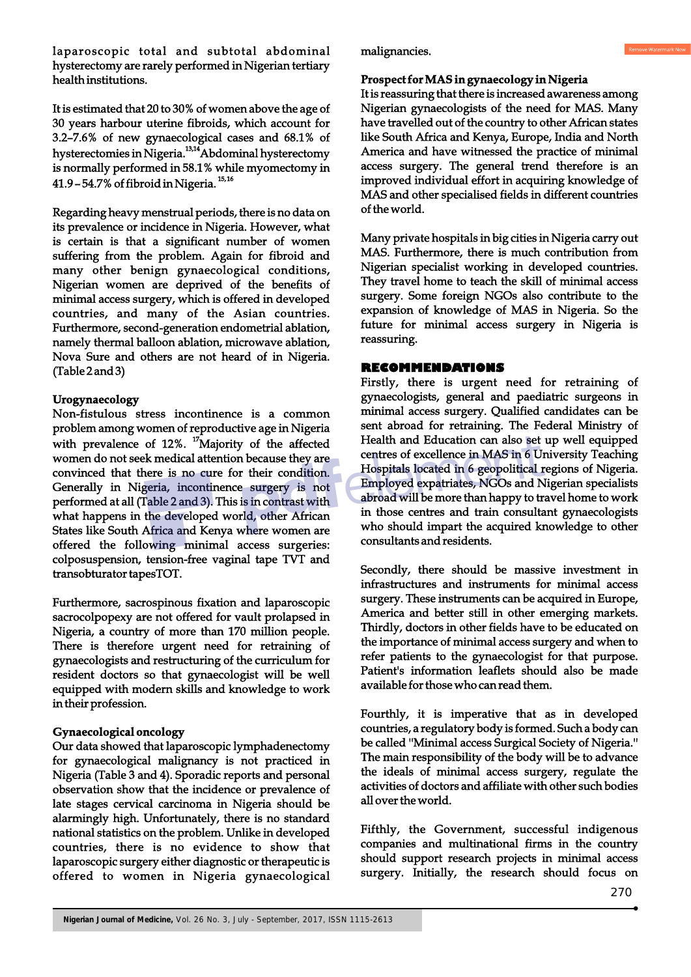laparoscopic total and subtotal abdominal hysterectomy are rarely performed in Nigerian tertiary health institutions.

It is estimated that 20 to 30% of women above the age of 30 years harbour uterine fibroids, which account for 3.2–7.6% of new gynaecological cases and 68.1% of hysterectomies in Nigeria.<sup>13,14</sup> Abdominal hysterectomy is normally performed in 58.1% while myomectomy in  $41.9 - 54.7\%$  of fibroid in Nigeria.<sup>15,16</sup>

Regarding heavy menstrual periods, there is no data on its prevalence or incidence in Nigeria. However, what is certain is that a significant number of women suffering from the problem. Again for fibroid and many other benign gynaecological conditions, Nigerian women are deprived of the benefits of minimal access surgery, which is offered in developed countries, and many of the Asian countries. Furthermore, second-generation endometrial ablation, namely thermal balloon ablation, microwave ablation, Nova Sure and others are not heard of in Nigeria. (Table 2 and 3)

## **Urogynaecology**

Non-fistulous stress incontinence is a common problem among women of reproductive age in Nigeria with prevalence of 12%. <sup>17</sup>Majority of the affected women do not seek medical attention because they are convinced that there is no cure for their condition. Generally in Nigeria, incontinence surgery is not performed at all (Table 2 and 3). This is in contrast with what happens in the developed world, other African States like South Africa and Kenya where women are offered the following minimal access surgeries: colposuspension, tension-free vaginal tape TVT and transobturator tapesTOT.

Furthermore, sacrospinous fixation and laparoscopic sacrocolpopexy are not offered for vault prolapsed in Nigeria, a country of more than 170 million people. There is therefore urgent need for retraining of gynaecologists and restructuring of the curriculum for resident doctors so that gynaecologist will be well equipped with modern skills and knowledge to work in their profession.

#### **Gynaecological oncology**

Our data showed that laparoscopic lymphadenectomy for gynaecological malignancy is not practiced in Nigeria (Table 3 and 4). Sporadic reports and personal observation show that the incidence or prevalence of late stages cervical carcinoma in Nigeria should be alarmingly high. Unfortunately, there is no standard national statistics on the problem. Unlike in developed countries, there is no evidence to show that laparoscopic surgery either diagnostic or therapeutic is offered to women in Nigeria gynaecological

malignancies.

#### **Prospect for MAS in gynaecology in Nigeria**

It is reassuring that there is increased awareness among Nigerian gynaecologists of the need for MAS. Many have travelled out of the country to other African states like South Africa and Kenya, Europe, India and North America and have witnessed the practice of minimal access surgery. The general trend therefore is an improved individual effort in acquiring knowledge of MAS and other specialised fields in different countries of the world.

Many private hospitals in big cities in Nigeria carry out MAS. Furthermore, there is much contribution from Nigerian specialist working in developed countries. They travel home to teach the skill of minimal access surgery. Some foreign NGOs also contribute to the expansion of knowledge of MAS in Nigeria. So the future for minimal access surgery in Nigeria is reassuring.

#### **RECOMMENDATIONS**

Firstly, there is urgent need for retraining of gynaecologists, general and paediatric surgeons in minimal access surgery. Qualified candidates can be sent abroad for retraining. The Federal Ministry of Health and Education can also set up well equipped centres of excellence in MAS in 6 University Teaching Hospitals located in 6 geopolitical regions of Nigeria. Employed expatriates, NGOs and Nigerian specialists abroad will be more than happy to travel home to work in those centres and train consultant gynaecologists who should impart the acquired knowledge to other consultants and residents.

Secondly, there should be massive investment in infrastructures and instruments for minimal access surgery. These instruments can be acquired in Europe, America and better still in other emerging markets. Thirdly, doctors in other fields have to be educated on the importance of minimal access surgery and when to refer patients to the gynaecologist for that purpose. Patient's information leaflets should also be made available for those who can read them.

Fourthly, it is imperative that as in developed countries, a regulatory body is formed. Such a body can be called ''Minimal access Surgical Society of Nigeria.'' The main responsibility of the body will be to advance the ideals of minimal access surgery, regulate the activities of doctors and affiliate with other such bodies all over the world.

Fifthly, the Government, successful indigenous companies and multinational firms in the country should support research projects in minimal access surgery. Initially, the research should focus on